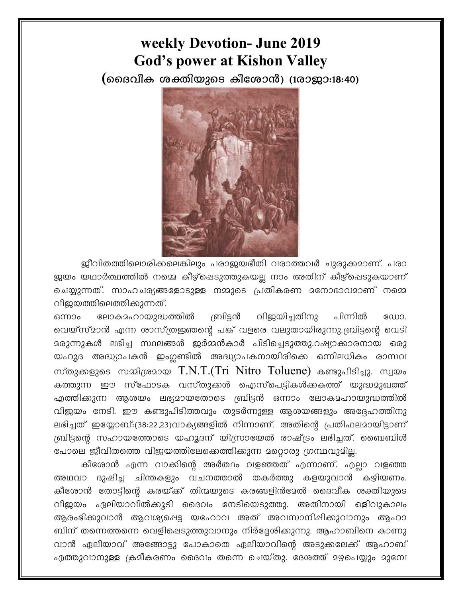## weekly Devotion- June 2019 **God's power at Kishon Valley**

(മൈവീക ശക്തിയുടെ കീശോൻ) (1രാജാ:18:40)



ജീവിതത്തിലൊരിക്കലെങ്കിലും പരാജയഭീതി വരാത്തവർ ചുരുക്കമാണ്. പരാ ജയം യഥാർത്ഥത്തിൽ നമ്മെ കീഴ്പ്പെടുത്തുകയല്ല നാം അതിന് കീഴ്പ്പെടുകയാണ് ചെയ്യുന്നത്. സാഹചര്യങ്ങളോടുള്ള നമ്മുടെ പ്രതികരണ മനോഭാവമാണ് നമ്മെ വിജയത്തിലെത്തിക്കുന്നത്.

ശ്ചിട്ടൻ വിജയിചതിനു പിന്നിൽ ലോകാഹായുദ്ധത്തിൽ ഡോ. ഒന്നാം വെയ്സ്മാൻ എന്ന ശാസ്ത്രജ്ഞന്റെ പങ്ക് വളരെ വലുതായിരുന്നു.ബ്രിട്ടന്റെ വെടി മരുന്നുകൾ ലഭിച്ച സ്ഥലങ്ങൾ ഇർമ്മൻകാർ പിടിച്ചെടുത്തു.റഷ്യാക്കാരനായ ഒരു യഹൂദ അദ്ധ്യാപകൻ ഇംഗ്ലണ്ടിൽ അദ്ധ്യാപകനായിരിക്കെ ഒന്നിലധികം രാസവ സ്തുക്കളുടെ സമ്മിശ്രമായ  $T.N.T.(Tri$  Nitro  $Toluene)$  കണ്ടുപിടിച്ചു. സ്വയം കത്തുന്ന ഈ സ്ഫോടക വസ്തുക്കൾ ഐസ്പെട്ടികൾക്കകത്ത് യുദ്ധമുഖത്ത് എത്തിക്കുന്ന ആശയം ലഭ്യമായതോടെ ബ്രിട്ടൻ ഒന്നാം ലോകമഹായുദ്ധത്തിൽ വിജയം നേടി. ഈ കണ്ടുപിടിത്തവും തുടർന്നുള്ള ആശയങ്ങളും അദ്ദേഹത്തിനു ലഭിച്ചത് ഇയ്യോബ്:(38:22,23)വാക്യങ്ങളിൽ നിന്നാണ്. അതിന്റെ പ്രതിഫലമായിട്ടാണ് ബ്രിട്ടന്റെ സഹായത്തോടെ യഹൂദന് യിസ്രായേൽ രാഷ്ട്രം ലഭിച്ചത്. ബൈബിൾ പോലെ ജീവിതത്തെ വിജയത്തിലേക്കെത്തിക്കുന്ന മറ്റൊരു ഗ്രന്ഥവുമില്ല.

കീശോൻ എന്ന വാക്കിന്റെ അർത്ഥം വളഞ്ഞത് എന്നാണ്. എല്ലാ വളഞ്ഞ അഥവാ ദുഷിച്ച ചിന്തകളും വചനത്താൽ തകർത്തു കളയുവാൻ കഴിയണം. കീശോൻ തോട്ടിന്റെ കരയ്ക്ക് തിന്മയുടെ കരങ്ങളിൻമേൽ ദൈവീക ശക്തിയുടെ വിജയം ഏലിയാവിൽക്കൂടി ദൈവം നേടിയെടുത്തു. അതിനായി ഒളിവുകാലം ആരംഭിക്കുവാൻ ആവശ്യപ്പെട്ട യഹോവ അത് അവസാനിഷിക്കുവാനും ആഹാ ബിന് തന്നെത്തന്നെ വെളിഷെടുത്തുവാനും നിർദ്ദേശിക്കുന്നു. ആഹാബിനെ കാണു വാൻ ഏലിയാവ് അങ്ങോട്ടു പോകാതെ ഏലിയാവിന്റെ അടുക്കലേക്ക് ആഹാബ് എത്തുവാനുള്ള ക്രമീകരണം ദൈവം തന്നെ ചെയ്തു. ദേശത്ത് മഴ്ചയും മുമ്പേ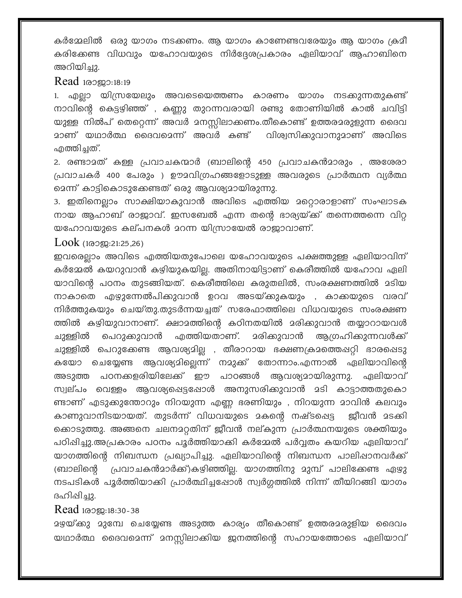കർമ്മേലിൽ ഒരു യാഗം നടക്കണം. ആ യാഗം കാണേണ്ടവരേയും ആ യാഗം ക്രമീ കരിക്കേണ്ട വിധവും യഹോവയുടെ നിർദ്ദേശപ്രകാരം ഏലിയാവ് ആഹാബിനെ അറിയിച്ചു.

## Read 100000:18:19

1. എല്ലാ യിസ്രയേലും അവടെയെത്തണം കാരണം യാഗം നടക്കുന്നതുകണ്ട് നാവിന്റെ കെട്ടഴിഞ്ഞ് , കണ്ണു തുറന്നവരായി രണ്ടു തോണിയിൽ കാൽ ചവിട്ടി യുള്ള നിൽപ് തെറ്റെന്ന് അവർ മനസ്സിലാക്കണം.തീകൊണ്ട് ഉത്തരമരുളുന്ന ദൈവ <u>ാണ് യഥാർത്ഥ ദൈവമെന്ന് അവർ കണ്ട് വിശ്വ</u>സിക്കുവാനുമാണ് അവിടെ എത്തിച്ചത്.

2. രണ്ടാമത് കള്ള പ്രവാചകന്മാർ (ബാലിന്റെ 450 പ്രവാചകൻമാരും , അശേരാ പ്രവാചകർ 400 പേരും ) ഊമവിഗ്രഹങ്ങളോടുള്ള അവരുടെ പ്രാർത്ഥന വ്യർത്ഥ മെന്ന് കാട്ടികൊടുക്കേണ്ടത് ഒരു ആവശ്യമായിരുന്നു.

3. ഇതിനെല്ലാം സാക്ഷിയാകുവാൻ അവിടെ എത്തിയ മറ്റൊരാളാണ് സംഘാടക നായ ആഹാബ് രാജാവ്. ഇസബേൽ എന്ന തന്റെ ഭാര്യയ്ക്ക് തന്നെത്തന്നെ വിറ്റ യഹോവയുടെ കല്പനകൾ മറന്ന യിസ്രായേൽ രാജാവാണ്.

## Look (100 m: 21:25, 26)

ഇവരെല്ലാം അവിടെ എത്തിയതുപോലെ യഹോവയുടെ പക്ഷത്തുള്ള ഏലിയാവിന് കർമ്മേൽ കയറുവാൻ കഴിയുകയില്ല. അതിനായിട്ടാണ് കെരീത്തിൽ യഹോവ ഏലി യാവിന്റെ പഠനം തുടങ്ങിയത്. കെരീത്തിലെ കരുതലിൽ, സംരക്ഷണത്തിൽ മടിയ നാകാതെ എഴുന്നേൽപിക്കുവാൻ ഉറവ അടയ്ക്കുകയും , കാക്കയുടെ വരവ് നിർത്തുകയും ചെയ്തു.തുടർന്നയച്ചത് സരേഫാത്തിലെ വിധവയുടെ സംരക്ഷണ ത്തിൽ കഴിയുവാനാണ്. ക്ഷാമത്തിന്റെ കഠിനതയിൽ മരിക്കുവാൻ തയ്യാറായവൾ പെറുക്കുവാൻ എത്തിയതാണ്. <u> ദരികുവാൻ ആഗ്രഹികുന്നവൾക്ക് </u> ചുള്ളിൽ ചുള്ളിൽ പെറുക്കേണ്ട ആവശ്യമില്ല , തീരാറായ ഭക്ഷണക്രമത്തെഷറ്റി ഭാരപ്പെടു കയോ ചെയ്യേണ്ട ആവശ്യമില്ലെന്ന് നമുക്ക് തോന്നാം.എന്നാൽ ഏലിയാവിന്റെ അടുത്ത പഠനക്കളരിയിലേക്ക് ഈ പാഠങ്ങൾ ആവശ്യമായിരുന്നു. ഏലിയാവ് സ്വല്പം വെള്ളം ആവശ്യപ്പെട്ടപ്പോൾ അനുസരിക്കുവാൻ മടി കാട്ടാത്തതുകൊ ണ്ടാണ് എടുക്കുന്തോറും നിറയുന്ന എണ്ണ ഭരണിയും , നിറയുന്ന മാവിൻ കലവും കാണുവാനിടയായത്. തുടർന്ന് വിധവയുടെ മകന്റെ നഷ്ടപ്പെട്ട ജീവൻ മടക്കി ക്കൊടുത്തു. അങ്ങനെ ചലനമറ്റതിന് ജീവൻ നല്കുന്ന പ്രാർത്ഥനയുടെ ശക്തിയും പഠിഷിച്ചു.അപ്രകാരം പഠനം പൂർത്തിയാക്കി കർമ്മേൽ പർവ്വതം കയറിയ ഏലിയാവ് യാഗത്തിന്റെ നിബന്ധന പ്രഖ്യാപിച്ചു. ഏലിയാവിന്റെ നിബന്ധന പാലിഷാനവർക്ക് പ്രവാചകൻമാർക്ക്)കഴിഞ്ഞില്ല. യാഗത്തിനു മുമ്പ് പാലിക്കേണ്ട ഏഴു (ബാലിന്റെ നടപടികൾ പൂർത്തിയാക്കി പ്രാർത്ഥിച്ചപ്പോൾ സ്വർഗ്ഗത്തിൽ നിന്ന് തീയിറങ്ങി യാഗം ദഹിഷിച്ചു.

## Read 10000:18:30-38

യഥാർത്ഥ ദൈവമെന്ന് മനസ്സിലാക്കിയ ജനത്തിന്റെ സഹായത്തോടെ ഏലിയാവ്